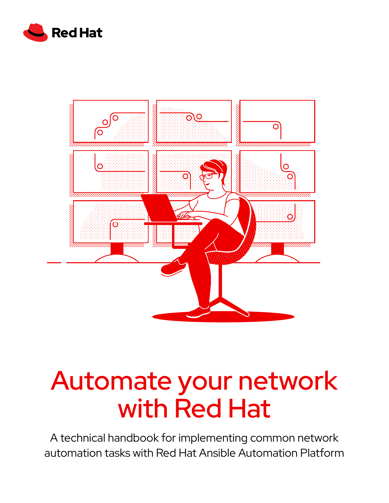



# Automate your network with Red Hat

A technical handbook for implementing common network automation tasks with Red Hat Ansible Automation Platform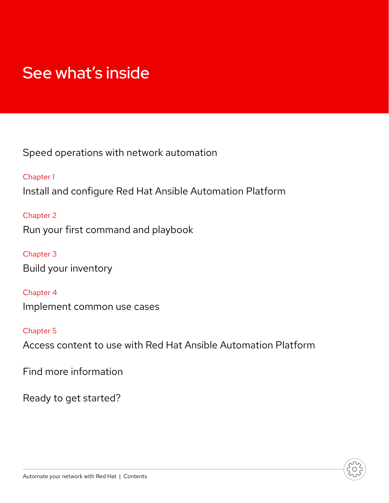## See what's inside

Spee[d operations with network automation](#page-2-0)

[Chapter 1](#page-3-0) [Install and configure Red Hat Ansible Automation Platform](#page-3-0)

[Chapter 2](#page-5-0) [Run your first command and playbook](#page-5-0)

[Chapter 3](#page-8-0) [Build your inventory](#page-8-0)

[Chapter 4](#page-13-0) [Implement common use cases](#page-13-0)

[Chapter 5](#page-17-0) [Access content to use with Red Hat Ansible Automation Platform](#page-17-0)

[Find more information](#page-18-0)

[Ready to get started?](#page-19-0)

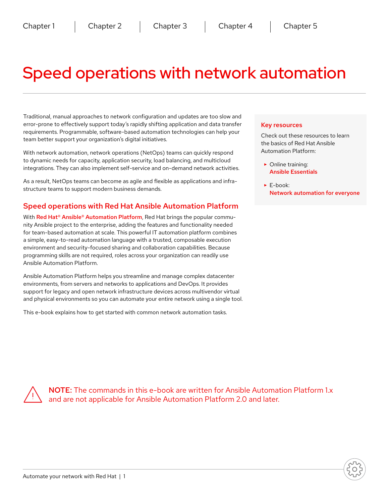## <span id="page-2-0"></span>Speed operations with network automation

Traditional, manual approaches to network configuration and updates are too slow and error-prone to effectively support today's rapidly shifting application and data transfer requirements. Programmable, software-based automation technologies can help your team better support your organization's digital initiatives.

With network automation, network operations (NetOps) teams can quickly respond to dynamic needs for capacity, application security, load balancing, and multicloud integrations. They can also implement self-service and on-demand network activities.

As a result, NetOps teams can become as agile and flexible as applications and infrastructure teams to support modern business demands.

#### Speed operations with Red Hat Ansible Automation Platform

With Red Hat<sup>®</sup> Ansible<sup>®</sup> Automation Platform, Red Hat brings the popular community Ansible project to the enterprise, adding the features and functionality needed for team-based automation at scale. This powerful IT automation platform combines a simple, easy-to-read automation language with a trusted, composable execution environment and security-focused sharing and collaboration capabilities. Because programming skills are not required, roles across your organization can readily use Ansible Automation Platform.

Ansible Automation Platform helps you streamline and manage complex datacenter environments, from servers and networks to applications and DevOps. It provides support for legacy and open network infrastructure devices across multivendor virtual and physical environments so you can automate your entire network using a single tool.

This e-book explains how to get started with common network automation tasks.

#### Key resources

Check out these resources to learn the basics of Red Hat Ansible Automation Platform:

- ► Online training: [Ansible Essentials](https://www.ansible.com/resources/webinars-training/introduction-to-ansible)
- ► E-book: [Network automation for everyone](https://www.redhat.com/en/resources/network-automation-everyone-ebook)

NOTE: The commands in this e-book are written for Ansible Automation Platform 1.x and are not applicable for Ansible Automation Platform 2.0 and later.

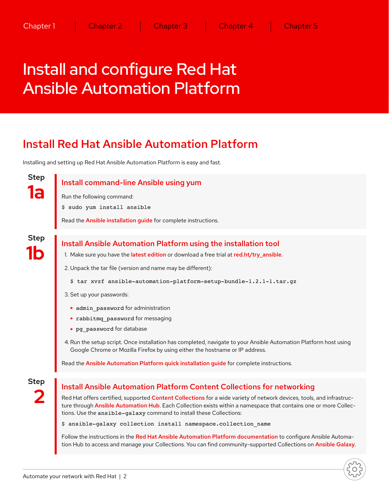## <span id="page-3-0"></span>Install and configure Red Hat Ansible Automation Platform

### Install Red Hat Ansible Automation Platform

Installing and setting up Red Hat Ansible Automation Platform is easy and fast.

Step **1a**

Install command-line Ansible using yum

- Run the following command:
- \$ sudo yum install ansible

Read the **[Ansible installation guide](https://docs.ansible.com/ansible/latest/installation_guide/intro_installation.html)** for complete instructions.

Step **1b**

#### Install Ansible Automation Platform using the installation tool

- 1. Make sure you have the [latest edition](https://access.redhat.com/downloads/content/480/ver=1.2/rhel---7/1.2/x86_64/product-software) or download a free trial at [red.ht/try\\_ansible](http://red.ht/try_ansible).
- 2. Unpack the tar file (version and name may be different):
	- \$ tar xvzf ansible-automation-platform-setup-bundle-1.2.1-1.tar.gz
- 3. Set up your passwords:
	- ► admin password for administration
	- ► rabbitmq\_password for messaging
	- ► pg\_password for database
- 4. Run the setup script. Once installation has completed, navigate to your Ansible Automation Platform host using Google Chrome or Mozilla Firefox by using either the hostname or IP address.

Read the [Ansible Automation Platform quick installation guide](https://docs.ansible.com/ansible-tower/latest/html/quickinstall/index.html) for complete instructions.

Step **2**

#### Install Ansible Automation Platform Content Collections for networking

Red Hat offers certified, supported [Content Collections](https://www.ansible.com/products/content-collections) for a wide variety of network devices, tools, and infrastruc-ture through [Ansible Automation Hub](https://www.ansible.com/products/automation-hub). Each Collection exists within a namespace that contains one or more Collections. Use the ansible-galaxy command to install these Collections:

\$ ansible-galaxy collection install namespace.collection\_name

Follow the instructions in the [Red Hat Ansible Automation Platform documentation](https://docs.ansible.com/ansible/latest/user_guide/collections_using.html) to configure Ansible Automa-tion Hub to access and manage your Collections. You can find community-supported Collections on [Ansible Galaxy](https://galaxy.ansible.com/search?keywords=&order_by=name&page=1&deprecated=false&tags=networking&type=collection&page_size=100).

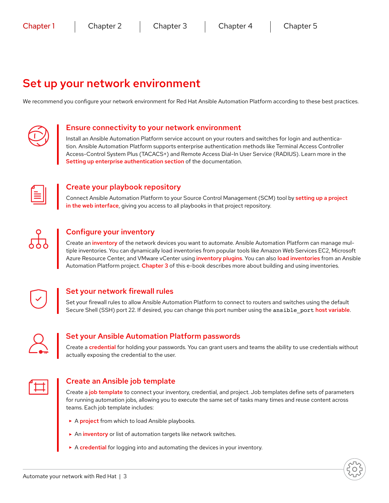### Set up your network environment

We recommend you configure your network environment for Red Hat Ansible Automation Platform according to these best practices.



#### Ensure connectivity to your network environment

Install an Ansible Automation Platform service account on your routers and switches for login and authentication. Ansible Automation Platform supports enterprise authentication methods like Terminal Access Controller Access-Control System Plus (TACACS+) and Remote Access Dial-In User Service (RADIUS). Learn more in the [Setting up enterprise authentication section](https://docs.ansible.com/ansible-tower/latest/html/administration/ent_auth.html) of the documentation.



#### Create your playbook repository

Connect Ansible Automation Platform to your Source Control Management (SCM) tool by setting up a project [in the web interface](https://docs.ansible.com/ansible-tower/latest/html/userguide/projects.html#projects), giving you access to all playbooks in that project repository.



#### Configure your inventory

Create an *[inventory](https://docs.ansible.com/ansible/latest/user_guide/intro_inventory.html)* of the network devices you want to automate. Ansible Automation Platform can manage multiple inventories. You can dynamically load inventories from popular tools like Amazon Web Services EC2, Microsoft Azure Resource Center, and VMware vCenter using [inventory plugins](https://docs.ansible.com/ansible-tower/latest/html/userguide/inventories.html#inventory-plugins). You can also [load inventories](https://docs.ansible.com/ansible-tower/latest/html/userguide/inventories.html#sourced-from-a-project) from an Ansible Automation Platform project. [Chapter 3](#page-8-0) of this e-book describes more about building and using inventories.



#### Set your network firewall rules

Set your firewall rules to allow Ansible Automation Platform to connect to routers and switches using the default Secure Shell (SSH) port 22. If desired, you can change this port number using the ansible port [host variable](https://docs.ansible.com/ansible/latest/user_guide/intro_inventory.html).



#### Set your Ansible Automation Platform passwords

Create a [credential](https://docs.ansible.com/ansible-tower/latest/html/userguide/credentials.html#credentials) for holding your passwords. You can grant users and teams the ability to use credentials without actually exposing the credential to the user.



#### Create an Ansible job template

Create a [job template](https://docs.ansible.com/ansible-tower/latest/html/userguide/job_templates.html) to connect your inventory, credential, and project. Job templates define sets of parameters for running automation jobs, allowing you to execute the same set of tasks many times and reuse content across teams. Each job template includes:

- ► A [project](https://docs.ansible.com/ansible-tower/latest/html/userguide/projects.html) from which to load Ansible playbooks.
- ► An [inventory](https://docs.ansible.com/ansible-tower/latest/html/userguide/inventories.html) or list of automation targets like network switches.
- ► A [credential](https://docs.ansible.com/ansible-tower/latest/html/userguide/credentials.html) for logging into and automating the devices in your inventory.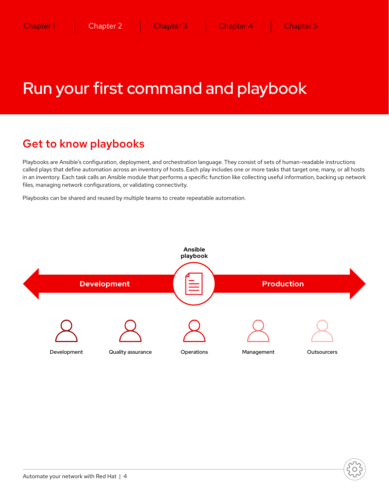## <span id="page-5-0"></span>Run your first command and playbook

### Get to know playbooks

Playbooks are Ansible's configuration, deployment, and orchestration language. They consist of sets of human-readable instructions called plays that define automation across an inventory of hosts. Each play includes one or more tasks that target one, many, or all hosts in an inventory. Each task calls an Ansible module that performs a specific function like collecting useful information, backing up network files, managing network configurations, or validating connectivity.

Playbooks can be shared and reused by multiple teams to create repeatable automation.

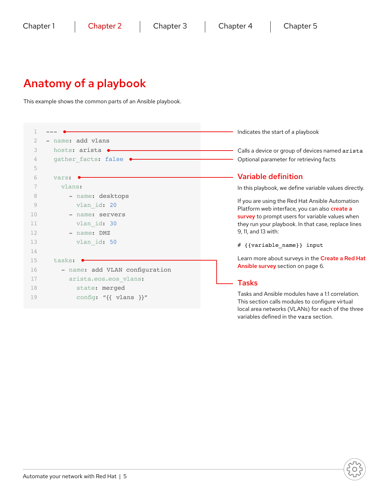### Anatomy of a playbook

This example shows the common parts of an Ansible playbook.

|    |                                      | Indicates the start of a playbook                                                                                                                                                                                                 |  |
|----|--------------------------------------|-----------------------------------------------------------------------------------------------------------------------------------------------------------------------------------------------------------------------------------|--|
| 2  | - name: add vlans                    |                                                                                                                                                                                                                                   |  |
| 3  | hosts: arista •                      | Calls a device or group of devices named arista                                                                                                                                                                                   |  |
| 4  | gather facts: false                  | Optional parameter for retrieving facts                                                                                                                                                                                           |  |
| 5  |                                      |                                                                                                                                                                                                                                   |  |
| 6  | vars:                                | <b>Variable definition</b>                                                                                                                                                                                                        |  |
|    | vlans:                               | In this playbook, we define variable values directly.                                                                                                                                                                             |  |
| 8  | - name: desktops                     | If you are using the Red Hat Ansible Automation<br>Platform web interface, you can also create a<br>survey to prompt users for variable values when<br>they run your playbook. In that case, replace lines<br>9, 11, and 13 with: |  |
| 9  | vlan id: 20                          |                                                                                                                                                                                                                                   |  |
| 10 | - name: servers                      |                                                                                                                                                                                                                                   |  |
| 11 | vlan id: 30                          |                                                                                                                                                                                                                                   |  |
| 12 | - name: DMZ                          |                                                                                                                                                                                                                                   |  |
| 13 | vlan id: 50                          | # {{variable_name}} input                                                                                                                                                                                                         |  |
| 14 |                                      |                                                                                                                                                                                                                                   |  |
| 15 | tasks:                               | Learn more about surveys in the Create a Red Hat                                                                                                                                                                                  |  |
| 16 | - name: add VLAN configuration       | Ansible survey section on page 6.                                                                                                                                                                                                 |  |
| 17 | arista.eos.eos vlans:                | <b>Tasks</b>                                                                                                                                                                                                                      |  |
| 18 | state: merged                        |                                                                                                                                                                                                                                   |  |
| 19 | config: " $\{\{\text{ vlans }\}\}$ " | Tasks and Ansible modules have a 1:1 correlation.<br>This section calls modules to configure virtual                                                                                                                              |  |
|    |                                      | local area networks (VLANs) for each of the three<br>variables defined in the vars section.                                                                                                                                       |  |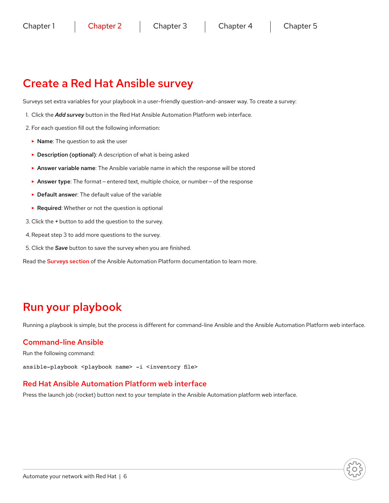### <span id="page-7-0"></span>Create a Red Hat Ansible survey

Surveys set extra variables for your playbook in a user-friendly question-and-answer way. To create a survey:

- 1. Click the *Add survey* button in the Red Hat Ansible Automation Platform web interface.
- 2. For each question fill out the following information:
	- ► Name: The question to ask the user
	- ► Description (optional): A description of what is being asked
	- ► Answer variable name: The Ansible variable name in which the response will be stored
	- ► Answer type: The format entered text, multiple choice, or number of the response
	- ► Default answer: The default value of the variable
	- ► Required: Whether or not the question is optional
- 3. Click the *+* button to add the question to the survey.
- 4. Repeat step 3 to add more questions to the survey.
- 5. Click the *Save* button to save the survey when you are finished.

Read the **[Surveys section](https://docs.ansible.com/ansible-tower/latest/html/userguide/job_templates.html#surveys)** of the Ansible Automation Platform documentation to learn more.

### Run your playbook

Running a playbook is simple, but the process is different for command-line Ansible and the Ansible Automation Platform web interface.

#### Command-line Ansible

Run the following command:

ansible-playbook <playbook name> -i <inventory file>

#### Red Hat Ansible Automation Platform web interface

Press the launch job (rocket) button next to your template in the Ansible Automation platform web interface.

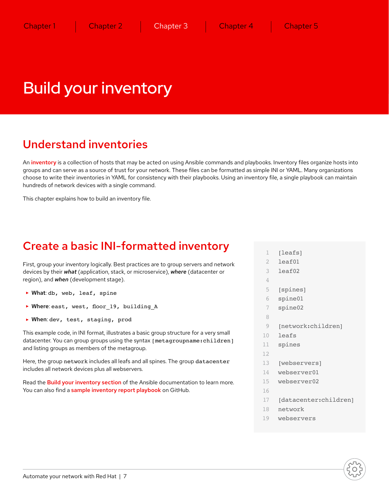## <span id="page-8-0"></span>Build your inventory

### Understand inventories

An [inventory](https://docs.ansible.com/ansible/latest/user_guide/intro_inventory.html) is a collection of hosts that may be acted on using Ansible commands and playbooks. Inventory files organize hosts into groups and can serve as a source of trust for your network. These files can be formatted as simple INI or YAML. Many organizations choose to write their inventories in YAML for consistency with their playbooks. Using an inventory file, a single playbook can maintain hundreds of network devices with a single command.

This chapter explains how to build an inventory file.

### Create a basic INI-formatted inventory

First, group your inventory logically. Best practices are to group servers and network devices by their *what* (application, stack, or microservice), *where* (datacenter or region), and *when* (development stage).

- ► What: db, web, leaf, spine
- ▶ Where: east, west, floor 19, building A
- ► When: dev, test, staging, prod

This example code, in INI format, illustrates a basic group structure for a very small datacenter. You can group groups using the syntax [metagroupname:children] and listing groups as members of the metagroup.

Here, the group network includes all leafs and all spines. The group datacenter includes all network devices plus all webservers.

Read the **[Build your inventory section](https://docs.ansible.com/ansible/latest/network/getting_started/first_inventory.html)** of the Ansible documentation to learn more. You can also find a [sample inventory report playbook](https://github.com/network-automation/ansible_inventory_report) on GitHub.

- 1 [leafs]
- 2 leaf01
- 3 leaf02
- 4
- 5 [spines]
- 6 spine01
- 7 spine02
- 8
- 9 [network:children]
- 10 leafs
- 11 spines
- 12
- 13 [webservers]
- 14 webserver01
- 15 webserver02
- 16
- 17 [datacenter:children]
- 18 network
- 19 webservers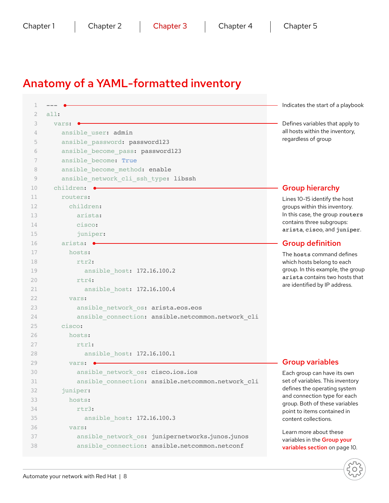### Anatomy of a YAML-formatted inventory

 $1 - - -$ 2 all:  $3$  vars:  $\bullet$ 4 ansible user: admin 5 ansible\_password: password123 6 ansible\_become\_pass: password123 7 ansible\_become: True 8 ansible become method: enable 9 ansible network cli ssh type: libssh 10 children:  $\bullet$ 11 routers: 12 children: 13 arista: 14 cisco: 15 juniper: 16 arista: 17 hosts: 18 rtr2: 19 ansible\_host: 172.16.100.2 20 rtr4: 21 ansible\_host: 172.16.100.4 22 vars: 23 ansible network os: arista.eos.eos 24 ansible\_connection: ansible.netcommon.network\_cli 25 cisco: 26 hosts: 27 rtr1: 28 ansible\_host: 172.16.100.1 29 vars: 30 ansible\_network\_os: cisco.ios.ios 31 ansible\_connection: ansible.netcommon.network\_cli 32 juniper: 33 hosts: 34 rtr3: 35 ansible\_host: 172.16.100.3 36 vars: 37 ansible\_network\_os: junipernetworks.junos.junos 38 ansible\_connection: ansible.netcommon.netconf Indicates the start of a playbook Defines variables that apply to all hosts within the inventory, regardless of group Group variables Each group can have its own set of variables. This inventory defines the operating system and connection type for each group. Both of these variables point to items contained in content collections. Learn more about these variables in the Group your [variables section](#page-11-0) on page 10. Group hierarchy Lines 10-15 identify the host groups within this inventory. In this case, the group routers contains three subgroups: arista, cisco, and juniper. Group definition The hosts command defines which hosts belong to each group. In this example, the group arista contains two hosts that are identified by IP address.

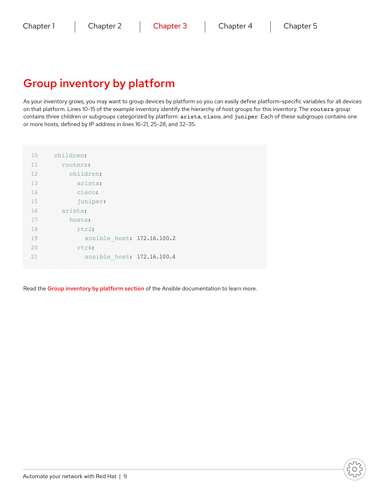### Group inventory by platform

As your inventory grows, you may want to group devices by platform so you can easily define platform-specific variables for all devices on that platform. Lines 10-15 of the example inventory identify the hierarchy of host groups for this inventory. The routers group contains three children or subgroups categorized by platform: arista, cisco, and juniper. Each of these subgroups contains one or more hosts, defined by IP address in lines 16-21, 25-28, and 32-35.

| 10 | children:                  |  |
|----|----------------------------|--|
| 11 | routers:                   |  |
| 12 | children:                  |  |
| 13 | arista:                    |  |
| 14 | cisco:                     |  |
| 15 | juniper:                   |  |
| 16 | arista:                    |  |
| 17 | hosts:                     |  |
| 18 | $rtr2$ :                   |  |
| 19 | ansible host: 172.16.100.2 |  |
| 20 | $rtr4$ :                   |  |
| 21 | ansible host: 172.16.100.4 |  |

Read the [Group inventory by platform section](https://docs.ansible.com/ansible/latest/network/getting_started/first_inventory.html) of the Ansible documentation to learn more.

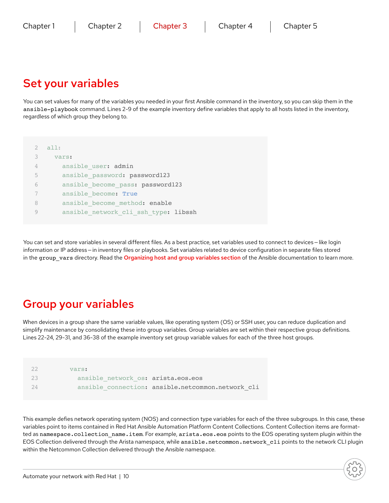### <span id="page-11-0"></span>Set your variables

You can set values for many of the variables you needed in your first Ansible command in the inventory, so you can skip them in the ansible-playbook command. Lines 2-9 of the example inventory define variables that apply to all hosts listed in the inventory, regardless of which group they belong to.

|                | all:                                 |
|----------------|--------------------------------------|
| 3              | vars:                                |
| $\overline{4}$ | ansible user: admin                  |
| 5              | ansible password: password123        |
| 6              | ansible become pass: password123     |
|                | ansible become: True                 |
| 8              | ansible become method: enable        |
|                | ansible_network_cli_ssh_type: libssh |

You can set and store variables in several different files. As a best practice, set variables used to connect to devices — like login information or IP address — in inventory files or playbooks. Set variables related to device configuration in separate files stored in the group vars directory. Read the [Organizing host and group variables section](https://docs.ansible.com/ansible/latest/user_guide/intro_inventory.html) of the Ansible documentation to learn more.

### Group your variables

When devices in a group share the same variable values, like operating system (OS) or SSH user, you can reduce duplication and simplify maintenance by consolidating these into group variables. Group variables are set within their respective group definitions. Lines 22-24, 29-31, and 36-38 of the example inventory set group variable values for each of the three host groups.

| 22  | vars:                              |                                                   |
|-----|------------------------------------|---------------------------------------------------|
| 23  | ansible network os: arista.eos.eos |                                                   |
| 2.4 |                                    | ansible connection: ansible.netcommon.network cli |

This example defies network operating system (NOS) and connection type variables for each of the three subgroups. In this case, these variables point to items contained in Red Hat Ansible Automation Platform Content Collections. Content Collection items are formatted as namespace.collection\_name.item. For example, arista.eos.eos points to the EOS operating system plugin within the EOS Collection delivered through the Arista namespace, while ansible.netcommon.network\_cli points to the network CLI plugin within the Netcommon Collection delivered through the Ansible namespace.

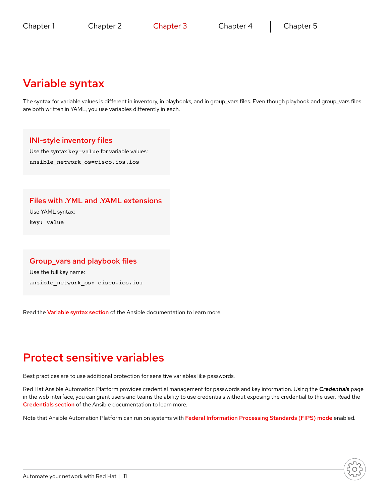### Variable syntax

The syntax for variable values is different in inventory, in playbooks, and in group\_vars files. Even though playbook and group\_vars files are both written in YAML, you use variables differently in each.

#### INI-style inventory files

Use the syntax key=value for variable values:

ansible network os=cisco.ios.ios

#### Files with .YML and .YAML extensions

Use YAML syntax:

key: value

#### Group\_vars and playbook files

Use the full key name: ansible\_network\_os: cisco.ios.ios

Read the [Variable syntax section](https://docs.ansible.com/ansible/latest/network/getting_started/first_inventory.html) of the Ansible documentation to learn more.

### Protect sensitive variables

Best practices are to use additional protection for sensitive variables like passwords.

Red Hat Ansible Automation Platform provides credential management for passwords and key information. Using the *Credentials* page in the web interface, you can grant users and teams the ability to use credentials without exposing the credential to the user. Read the [Credentials section](https://docs.ansible.com/ansible-tower/latest/html/userguide/credentials.html) of the Ansible documentation to learn more.

Note that Ansible Automation Platform can run on systems with [Federal Information Processing Standards \(FIPS\) mode](https://docs.ansible.com/ansible-tower/latest/html/installandreference/install_notes_reqs.html#installing-ap-on-systems-with-fips-mode-enabled) enabled.

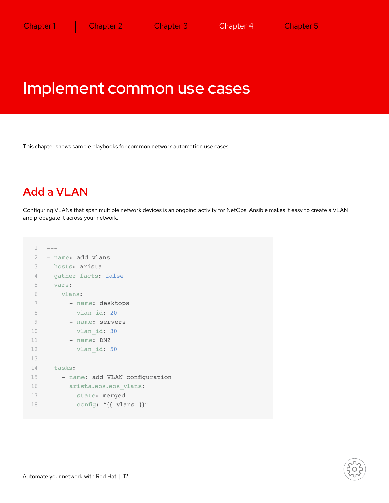### <span id="page-13-0"></span>Implement common use cases

This chapter shows sample playbooks for common network automation use cases.

### Add a VLAN

Configuring VLANs that span multiple network devices is an ongoing activity for NetOps. Ansible makes it easy to create a VLAN and propagate it across your network.

```
\mathbf 12 - name: add vlans
3 hosts: arista
4 gather facts: false
5 vars:
6 vlans:
7 - name: desktops
8 vlan_id: 20
9 - name: servers
10 vlan_id: 30
11 - name: DMZ
12 vlan_id: 50
13
14 tasks:
15 - name: add VLAN configuration
16 arista.eos.eos vlans:
17 state: merged
18 config: "{{ vlans }}"
```
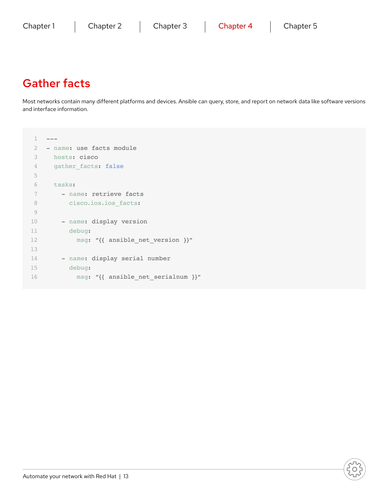### Gather facts

Most networks contain many different platforms and devices. Ansible can query, store, and report on network data like software versions and interface information.

```
1 - - -2 - name: use facts module
3 hosts: cisco
4 gather_facts: false
5
6 tasks:
7 - name: retrieve facts
8 cisco.ios.ios_facts:
9
10 - name: display version
11 debug:
12 msg: "{{ ansible_net_version }}"
13
14 - name: display serial number
15 debug:
16 msg: "{{ ansible_net_serialnum }}"
```
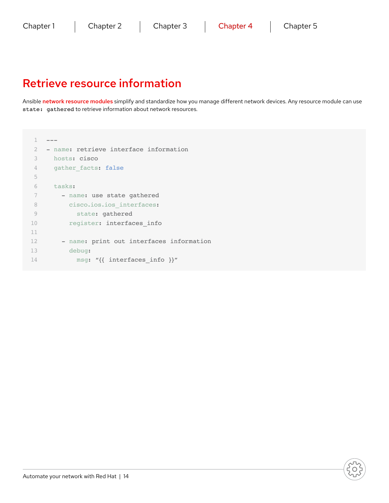### Retrieve resource information

Ansible [network resource modules](https://docs.ansible.com/ansible/latest/network/user_guide/network_resource_modules.html) simplify and standardize how you manage different network devices. Any resource module can use state: gathered to retrieve information about network resources.

```
1 - -2 - name: retrieve interface information
3 hosts: cisco
4 gather_facts: false
5
6 tasks:
7 - name: use state gathered
8 cisco.ios.ios_interfaces:
9 state: gathered
10 register: interfaces_info
11
12 - name: print out interfaces information
13 debug:
14 msg: "{{ interfaces_info }}"
```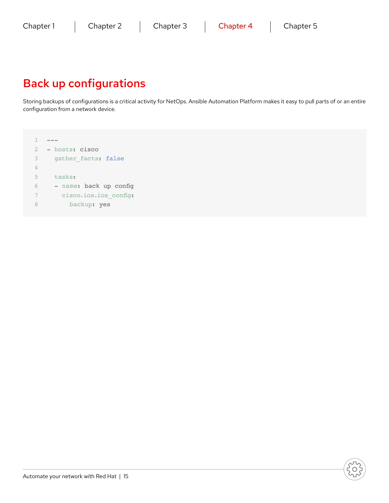### Back up configurations

Storing backups of configurations is a critical activity for NetOps. Ansible Automation Platform makes it easy to pull parts of or an entire configuration from a network device.

 $1 - - -$ 2 - hosts: cisco 3 gather facts: false 4 5 tasks: 6 - name: back up config 7 cisco.ios.ios\_config: 8 backup: yes

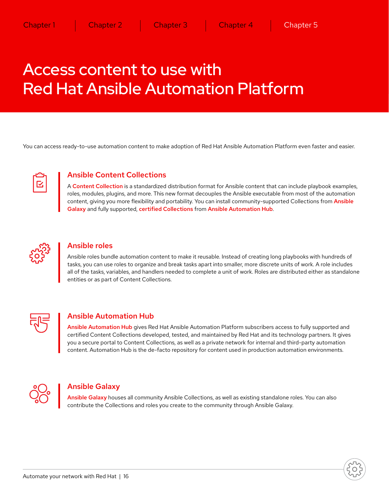## <span id="page-17-0"></span>Access content to use with Red Hat Ansible Automation Platform

You can access ready-to-use automation content to make adoption of Red Hat Ansible Automation Platform even faster and easier.



#### Ansible Content Collections

A [Content Collection](https://www.ansible.com/products/content-collections) is a standardized distribution format for Ansible content that can include playbook examples, roles, modules, plugins, and more. This new format decouples the Ansible executable from most of the automation content, giving you more flexibility and portability. You can install community-supported Collections from Ansible [Galaxy](https://galaxy.ansible.com/) and fully supported, [certified Collections](https://access.redhat.com/articles/3642632) from [Ansible Automation Hub](https://cloud.redhat.com/ansible/automation-hub/).



#### Ansible roles

Ansible roles bundle automation content to make it reusable. Instead of creating long playbooks with hundreds of tasks, you can use roles to organize and break tasks apart into smaller, more discrete units of work. A role includes all of the tasks, variables, and handlers needed to complete a unit of work. Roles are distributed either as standalone entities or as part of Content Collections.



#### Ansible Automation Hub

[Ansible Automation Hub](https://cloud.redhat.com/ansible/automation-hub/) gives Red Hat Ansible Automation Platform subscribers access to fully supported and certified Content Collections developed, tested, and maintained by Red Hat and its technology partners. It gives you a secure portal to Content Collections, as well as a private network for internal and third-party automation content. Automation Hub is the de-facto repository for content used in production automation environments.



#### Ansible Galaxy

[Ansible Galaxy](https://galaxy.ansible.com/) houses all community Ansible Collections, as well as existing standalone roles. You can also contribute the Collections and roles you create to the community through Ansible Galaxy.

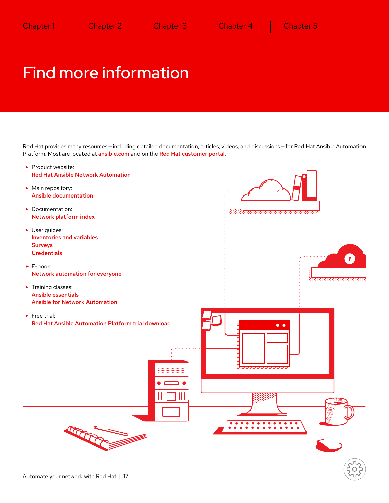## <span id="page-18-0"></span>Find more information

Red Hat provides many resources – including detailed documentation, articles, videos, and discussions – for Red Hat Ansible Automation Platform. Most are located at [ansible.com](https://www.ansible.com/) and on the [Red Hat customer portal](https://access.redhat.com/).